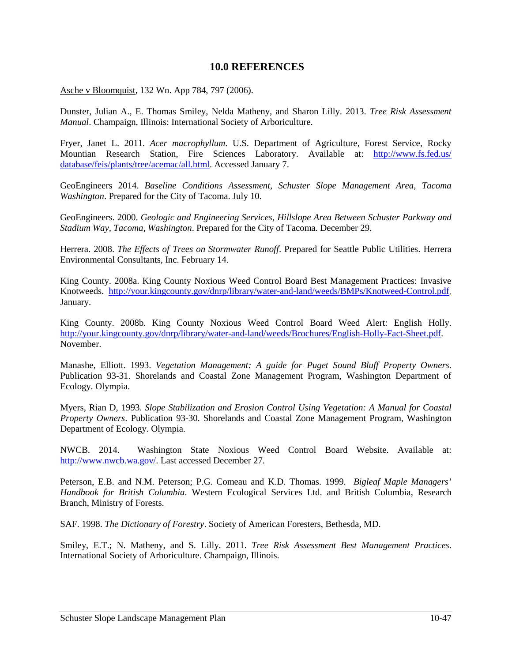## **10.0 REFERENCES**

Asche v Bloomquist, 132 Wn. App 784, 797 (2006).

Dunster, Julian A., E. Thomas Smiley, Nelda Matheny, and Sharon Lilly. 2013. *Tree Risk Assessment Manual*. Champaign, Illinois: International Society of Arboriculture.

Fryer, Janet L. 2011. *Acer macrophyllum*. U.S. Department of Agriculture, Forest Service, Rocky Mountian Research Station, Fire Sciences Laboratory. Available at: [http://www.fs.fed.us/](http://www.fs.fed.us/%20database/feis/plants/tree/acemac/all.html)  [database/feis/plants/tree/acemac/all.html.](http://www.fs.fed.us/%20database/feis/plants/tree/acemac/all.html) Accessed January 7.

GeoEngineers 2014. *Baseline Conditions Assessment, Schuster Slope Management Area, Tacoma Washington*. Prepared for the City of Tacoma. July 10.

GeoEngineers. 2000. *Geologic and Engineering Services, Hillslope Area Between Schuster Parkway and Stadium Way, Tacoma, Washington*. Prepared for the City of Tacoma. December 29.

Herrera. 2008. *The Effects of Trees on Stormwater Runoff*. Prepared for Seattle Public Utilities. Herrera Environmental Consultants, Inc. February 14.

King County. 2008a. King County Noxious Weed Control Board Best Management Practices: Invasive Knotweeds. [http://your.kingcounty.gov/dnrp/library/water-and-land/weeds/BMPs/Knotweed-Control.pdf.](http://your.kingcounty.gov/dnrp/library/water-and-land/weeds/BMPs/Knotweed-Control.pdf)  January.

King County. 2008b. King County Noxious Weed Control Board Weed Alert: English Holly. [http://your.kingcounty.gov/dnrp/library/water-and-land/weeds/Brochures/English-Holly-Fact-Sheet.pdf.](http://your.kingcounty.gov/dnrp/library/water-and-land/weeds/Brochures/English-Holly-Fact-Sheet.pdf) November.

Manashe, Elliott. 1993. *Vegetation Management: A guide for Puget Sound Bluff Property Owners*. Publication 93-31. Shorelands and Coastal Zone Management Program, Washington Department of Ecology. Olympia.

Myers, Rian D, 1993. *Slope Stabilization and Erosion Control Using Vegetation: A Manual for Coastal Property Owners*. Publication 93-30. Shorelands and Coastal Zone Management Program, Washington Department of Ecology. Olympia.

NWCB. 2014. Washington State Noxious Weed Control Board Website. Available at: [http://www.nwcb.wa.gov/.](http://www.nwcb.wa.gov/) Last accessed December 27.

Peterson, E.B. and N.M. Peterson; P.G. Comeau and K.D. Thomas. 1999. *Bigleaf Maple Managers' Handbook for British Columbia*. Western Ecological Services Ltd. and British Columbia, Research Branch, Ministry of Forests.

SAF. 1998. *The Dictionary of Forestry*. Society of American Foresters, Bethesda, MD.

Smiley, E.T.; N. Matheny, and S. Lilly. 2011. *Tree Risk Assessment Best Management Practices*. International Society of Arboriculture. Champaign, Illinois.